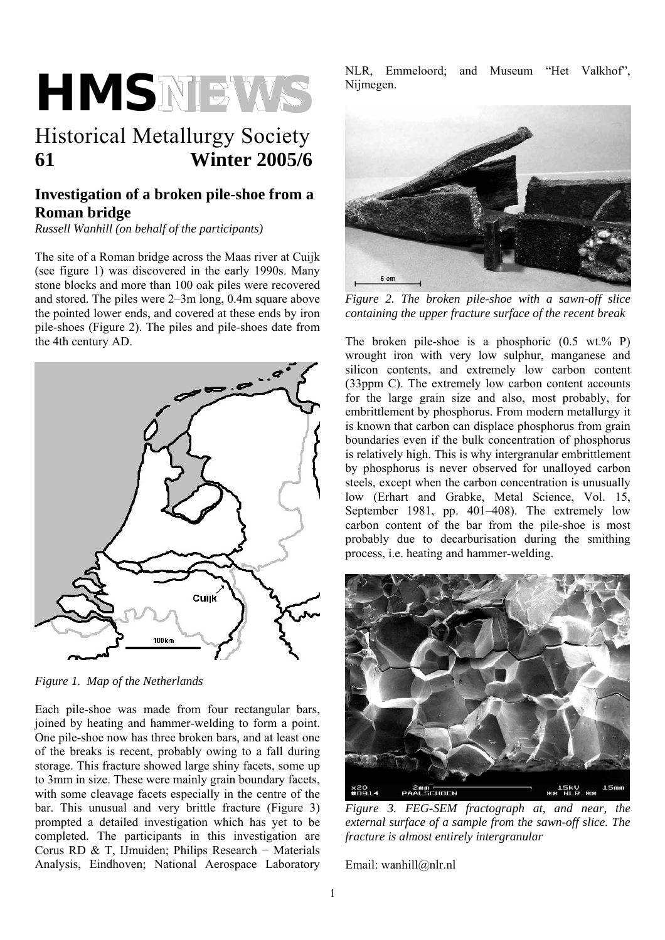# **HMSNEWS**

# Historical Metallurgy Society **61 Winter 2005/6**

# **Investigation of a broken pile-shoe from a Roman bridge**

*Russell Wanhill (on behalf of the participants)* 

The site of a Roman bridge across the Maas river at Cuijk (see figure 1) was discovered in the early 1990s. Many stone blocks and more than 100 oak piles were recovered and stored. The piles were 2–3m long, 0.4m square above the pointed lower ends, and covered at these ends by iron pile-shoes (Figure 2). The piles and pile-shoes date from the 4th century AD.



*Figure 1. Map of the Netherlands* 

Each pile-shoe was made from four rectangular bars, joined by heating and hammer-welding to form a point. One pile-shoe now has three broken bars, and at least one of the breaks is recent, probably owing to a fall during storage. This fracture showed large shiny facets, some up to 3mm in size. These were mainly grain boundary facets, with some cleavage facets especially in the centre of the bar. This unusual and very brittle fracture (Figure 3) prompted a detailed investigation which has yet to be completed. The participants in this investigation are Corus RD & T, IJmuiden; Philips Research − Materials Analysis, Eindhoven; National Aerospace Laboratory

NLR, Emmeloord; and Museum "Het Valkhof", Nijmegen.



*Figure 2. The broken pile-shoe with a sawn-off slice containing the upper fracture surface of the recent break* 

The broken pile-shoe is a phosphoric  $(0.5 \text{ wt.}\% \text{ P})$ wrought iron with very low sulphur, manganese and silicon contents, and extremely low carbon content (33ppm C). The extremely low carbon content accounts for the large grain size and also, most probably, for embrittlement by phosphorus. From modern metallurgy it is known that carbon can displace phosphorus from grain boundaries even if the bulk concentration of phosphorus is relatively high. This is why intergranular embrittlement by phosphorus is never observed for unalloyed carbon steels, except when the carbon concentration is unusually low (Erhart and Grabke, Metal Science, Vol. 15, September 1981, pp. 401–408). The extremely low carbon content of the bar from the pile-shoe is most probably due to decarburisation during the smithing process, i.e. heating and hammer-welding.



*Figure 3. FEG-SEM fractograph at, and near, the external surface of a sample from the sawn-off slice. The fracture is almost entirely intergranular*

Email: wanhill@nlr.nl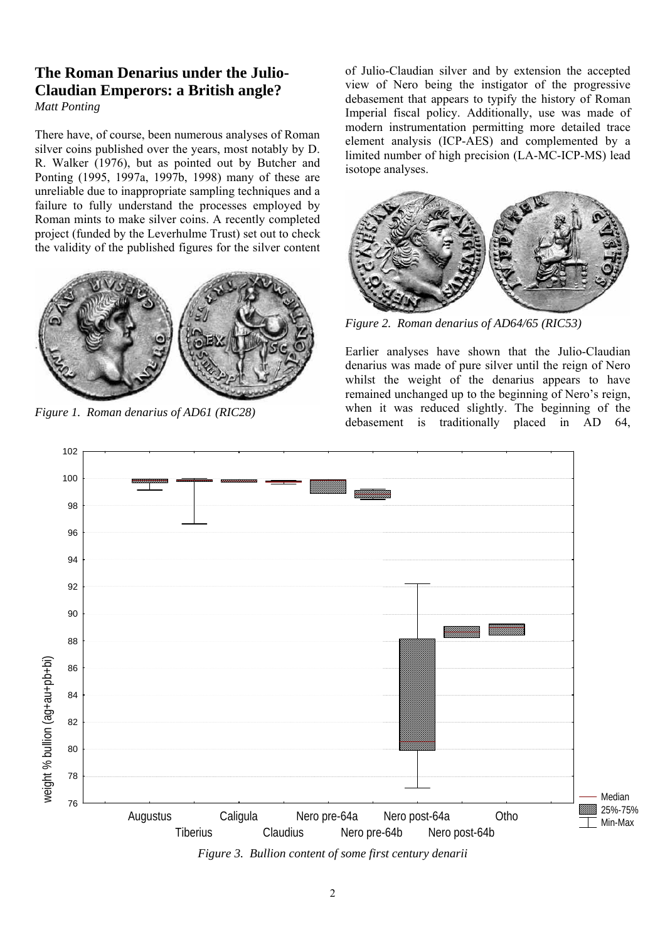# **The Roman Denarius under the Julio-Claudian Emperors: a British angle?**

*Matt Ponting* 

There have, of course, been numerous analyses of Roman silver coins published over the years, most notably by D. R. Walker (1976), but as pointed out by Butcher and Ponting (1995, 1997a, 1997b, 1998) many of these are unreliable due to inappropriate sampling techniques and a failure to fully understand the processes employed by Roman mints to make silver coins. A recently completed project (funded by the Leverhulme Trust) set out to check the validity of the published figures for the silver content



of Julio-Claudian silver and by extension the accepted view of Nero being the instigator of the progressive debasement that appears to typify the history of Roman Imperial fiscal policy. Additionally, use was made of modern instrumentation permitting more detailed trace element analysis (ICP-AES) and complemented by a limited number of high precision (LA-MC-ICP-MS) lead isotope analyses.



*Figure 2. Roman denarius of AD64/65 (RIC53)* 

Earlier analyses have shown that the Julio-Claudian denarius was made of pure silver until the reign of Nero whilst the weight of the denarius appears to have remained unchanged up to the beginning of Nero's reign, when it was reduced slightly. The beginning of the Figure 1. Roman denarius of AD61 (RIC28) *Figure 1. Roman denarius of AD61 (RIC28) Figure 1. Roman denarius of AD61 (RIC28)* **<b>***Figure 1. Roman denarius of AD61 (RIC28) Figure 1. Roman denarius of AD64,* **<b>***Figure 1* 

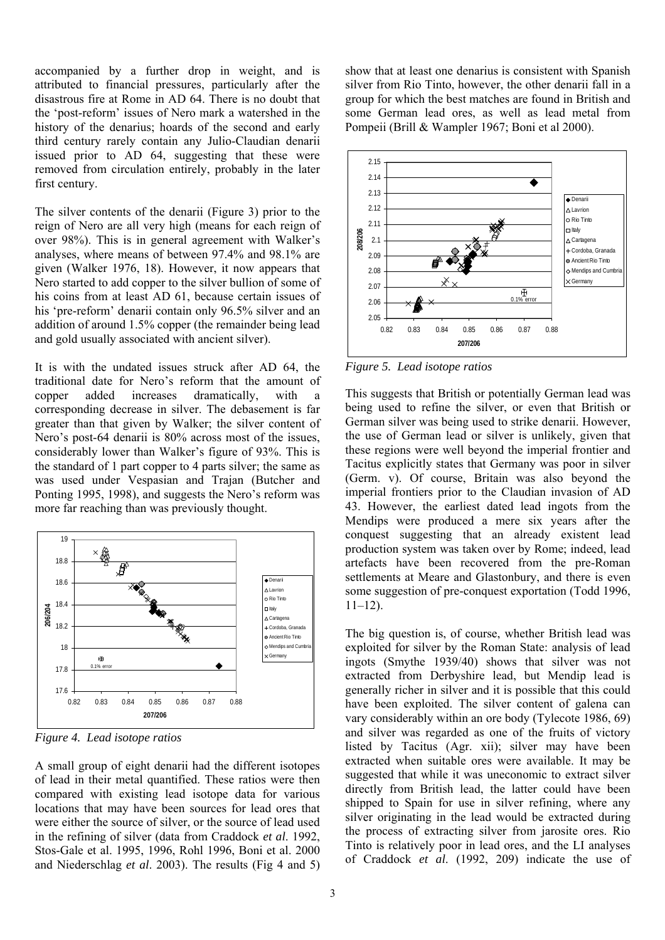accompanied by a further drop in weight, and is attributed to financial pressures, particularly after the disastrous fire at Rome in AD 64. There is no doubt that the 'post-reform' issues of Nero mark a watershed in the history of the denarius; hoards of the second and early third century rarely contain any Julio-Claudian denarii issued prior to AD 64, suggesting that these were removed from circulation entirely, probably in the later first century.

The silver contents of the denarii (Figure 3) prior to the reign of Nero are all very high (means for each reign of over 98%). This is in general agreement with Walker's analyses, where means of between 97.4% and 98.1% are given (Walker 1976, 18). However, it now appears that Nero started to add copper to the silver bullion of some of his coins from at least AD 61, because certain issues of his 'pre-reform' denarii contain only 96.5% silver and an addition of around 1.5% copper (the remainder being lead and gold usually associated with ancient silver).

It is with the undated issues struck after AD 64, the traditional date for Nero's reform that the amount of copper added increases dramatically, with a corresponding decrease in silver. The debasement is far greater than that given by Walker; the silver content of Nero's post-64 denarii is 80% across most of the issues, considerably lower than Walker's figure of 93%. This is the standard of 1 part copper to 4 parts silver; the same as was used under Vespasian and Trajan (Butcher and Ponting 1995, 1998), and suggests the Nero's reform was more far reaching than was previously thought.



*Figure 4. Lead isotope ratios* 

A small group of eight denarii had the different isotopes of lead in their metal quantified. These ratios were then compared with existing lead isotope data for various locations that may have been sources for lead ores that were either the source of silver, or the source of lead used in the refining of silver (data from Craddock *et al*. 1992, Stos-Gale et al. 1995, 1996, Rohl 1996, Boni et al. 2000 and Niederschlag *et al*. 2003). The results (Fig 4 and 5)

show that at least one denarius is consistent with Spanish silver from Rio Tinto, however, the other denarii fall in a group for which the best matches are found in British and some German lead ores, as well as lead metal from Pompeii (Brill & Wampler 1967; Boni et al 2000).



*Figure 5. Lead isotope ratios* 

This suggests that British or potentially German lead was being used to refine the silver, or even that British or German silver was being used to strike denarii. However, the use of German lead or silver is unlikely, given that these regions were well beyond the imperial frontier and Tacitus explicitly states that Germany was poor in silver (Germ. v). Of course, Britain was also beyond the imperial frontiers prior to the Claudian invasion of AD 43. However, the earliest dated lead ingots from the Mendips were produced a mere six years after the conquest suggesting that an already existent lead production system was taken over by Rome; indeed, lead artefacts have been recovered from the pre-Roman settlements at Meare and Glastonbury, and there is even some suggestion of pre-conquest exportation (Todd 1996,  $11-12$ ).

The big question is, of course, whether British lead was exploited for silver by the Roman State: analysis of lead ingots (Smythe 1939/40) shows that silver was not extracted from Derbyshire lead, but Mendip lead is generally richer in silver and it is possible that this could have been exploited. The silver content of galena can vary considerably within an ore body (Tylecote 1986, 69) and silver was regarded as one of the fruits of victory listed by Tacitus (Agr. xii); silver may have been extracted when suitable ores were available. It may be suggested that while it was uneconomic to extract silver directly from British lead, the latter could have been shipped to Spain for use in silver refining, where any silver originating in the lead would be extracted during the process of extracting silver from jarosite ores. Rio Tinto is relatively poor in lead ores, and the LI analyses of Craddock *et al*. (1992, 209) indicate the use of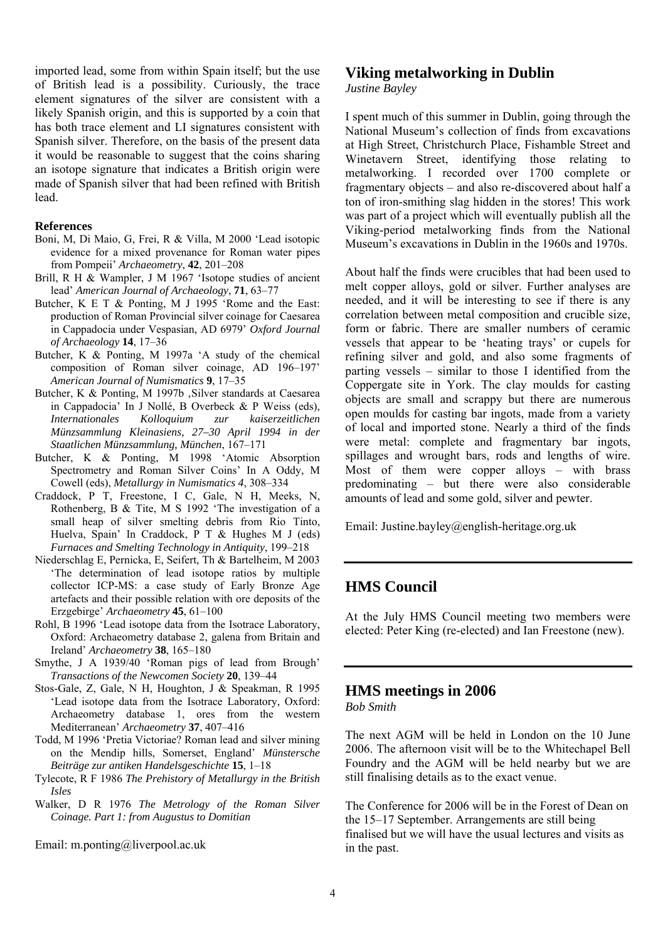imported lead, some from within Spain itself; but the use of British lead is a possibility. Curiously, the trace element signatures of the silver are consistent with a likely Spanish origin, and this is supported by a coin that has both trace element and LI signatures consistent with Spanish silver. Therefore, on the basis of the present data it would be reasonable to suggest that the coins sharing an isotope signature that indicates a British origin were made of Spanish silver that had been refined with British lead.

#### **References**

- Boni, M, Di Maio, G, Frei, R & Villa, M 2000 'Lead isotopic evidence for a mixed provenance for Roman water pipes from Pompeii' *Archaeometry*, **42**, 201–208
- Brill, R H & Wampler, J M 1967 'Isotope studies of ancient lead' *American Journal of Archaeology*, **71**, 63–77
- Butcher, K E T & Ponting, M J 1995 'Rome and the East: production of Roman Provincial silver coinage for Caesarea in Cappadocia under Vespasian, AD 6979' *Oxford Journal of Archaeology* **14**, 17–36
- Butcher, K & Ponting, M 1997a 'A study of the chemical composition of Roman silver coinage, AD 196–197' *American Journal of Numismatics* **9**, 17–35
- Butcher, K & Ponting, M 1997b, Silver standards at Caesarea in Cappadocia' In J Nollé, B Overbeck & P Weiss (eds), *Internationales Kolloquium zur kaiserzeitlichen Münzsammlung Kleinasiens, 27–30 April 1994 in der Staatlichen Münzsammlung, München*, 167–171
- Butcher, K & Ponting, M 1998 'Atomic Absorption Spectrometry and Roman Silver Coins' In A Oddy, M Cowell (eds), *Metallurgy in Numismatics 4*, 308–334
- Craddock, P T, Freestone, I C, Gale, N H, Meeks, N, Rothenberg, B & Tite, M S 1992 'The investigation of a small heap of silver smelting debris from Rio Tinto, Huelva, Spain' In Craddock, P T & Hughes M J (eds) *Furnaces and Smelting Technology in Antiquity*, 199–218
- Niederschlag E, Pernicka, E, Seifert, Th & Bartelheim, M 2003 'The determination of lead isotope ratios by multiple collector ICP-MS: a case study of Early Bronze Age artefacts and their possible relation with ore deposits of the Erzgebirge' *Archaeometry* **45**, 61–100
- Rohl, B 1996 'Lead isotope data from the Isotrace Laboratory, Oxford: Archaeometry database 2, galena from Britain and Ireland' *Archaeometry* **38**, 165–180
- Smythe, J A 1939/40 'Roman pigs of lead from Brough' *Transactions of the Newcomen Society* **20**, 139–44
- Stos-Gale, Z, Gale, N H, Houghton, J & Speakman, R 1995 'Lead isotope data from the Isotrace Laboratory, Oxford: Archaeometry database 1, ores from the western Mediterranean' *Archaeometry* **37**, 407–416
- Todd, M 1996 'Pretia Victoriae? Roman lead and silver mining on the Mendip hills, Somerset, England' *Münstersche Beiträge zur antiken Handelsgeschichte* **15**, 1–18
- Tylecote, R F 1986 *The Prehistory of Metallurgy in the British Isles*
- Walker, D R 1976 *The Metrology of the Roman Silver Coinage. Part 1: from Augustus to Domitian*

Email: m.ponting@liverpool.ac.uk

#### **Viking metalworking in Dublin**

*Justine Bayley* 

I spent much of this summer in Dublin, going through the National Museum's collection of finds from excavations at High Street, Christchurch Place, Fishamble Street and Winetavern Street, identifying those relating to metalworking. I recorded over 1700 complete or fragmentary objects – and also re-discovered about half a ton of iron-smithing slag hidden in the stores! This work was part of a project which will eventually publish all the Viking-period metalworking finds from the National Museum's excavations in Dublin in the 1960s and 1970s.

About half the finds were crucibles that had been used to melt copper alloys, gold or silver. Further analyses are needed, and it will be interesting to see if there is any correlation between metal composition and crucible size, form or fabric. There are smaller numbers of ceramic vessels that appear to be 'heating trays' or cupels for refining silver and gold, and also some fragments of parting vessels – similar to those I identified from the Coppergate site in York. The clay moulds for casting objects are small and scrappy but there are numerous open moulds for casting bar ingots, made from a variety of local and imported stone. Nearly a third of the finds were metal: complete and fragmentary bar ingots, spillages and wrought bars, rods and lengths of wire. Most of them were copper alloys – with brass predominating – but there were also considerable amounts of lead and some gold, silver and pewter.

Email: Justine.bayley@english-heritage.org.uk

#### **HMS Council**

At the July HMS Council meeting two members were elected: Peter King (re-elected) and Ian Freestone (new).

## **HMS meetings in 2006**

*Bob Smith* 

The next AGM will be held in London on the 10 June 2006. The afternoon visit will be to the Whitechapel Bell Foundry and the AGM will be held nearby but we are still finalising details as to the exact venue.

The Conference for 2006 will be in the Forest of Dean on the 15–17 September. Arrangements are still being finalised but we will have the usual lectures and visits as in the past.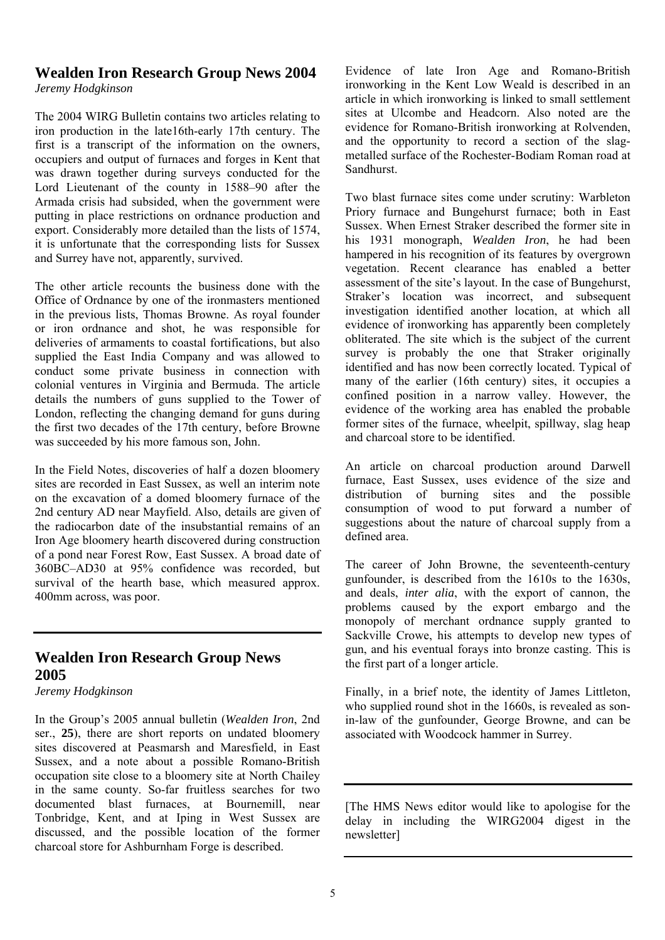# **Wealden Iron Research Group News 2004**

*Jeremy Hodgkinson* 

The 2004 WIRG Bulletin contains two articles relating to iron production in the late16th-early 17th century. The first is a transcript of the information on the owners, occupiers and output of furnaces and forges in Kent that was drawn together during surveys conducted for the Lord Lieutenant of the county in 1588–90 after the Armada crisis had subsided, when the government were putting in place restrictions on ordnance production and export. Considerably more detailed than the lists of 1574, it is unfortunate that the corresponding lists for Sussex and Surrey have not, apparently, survived.

The other article recounts the business done with the Office of Ordnance by one of the ironmasters mentioned in the previous lists, Thomas Browne. As royal founder or iron ordnance and shot, he was responsible for deliveries of armaments to coastal fortifications, but also supplied the East India Company and was allowed to conduct some private business in connection with colonial ventures in Virginia and Bermuda. The article details the numbers of guns supplied to the Tower of London, reflecting the changing demand for guns during the first two decades of the 17th century, before Browne was succeeded by his more famous son, John.

In the Field Notes, discoveries of half a dozen bloomery sites are recorded in East Sussex, as well an interim note on the excavation of a domed bloomery furnace of the 2nd century AD near Mayfield. Also, details are given of the radiocarbon date of the insubstantial remains of an Iron Age bloomery hearth discovered during construction of a pond near Forest Row, East Sussex. A broad date of 360BC–AD30 at 95% confidence was recorded, but survival of the hearth base, which measured approx. 400mm across, was poor.

# **Wealden Iron Research Group News 2005**

*Jeremy Hodgkinson* 

In the Group's 2005 annual bulletin (*Wealden Iron*, 2nd ser., **25**), there are short reports on undated bloomery sites discovered at Peasmarsh and Maresfield, in East Sussex, and a note about a possible Romano-British occupation site close to a bloomery site at North Chailey in the same county. So-far fruitless searches for two documented blast furnaces, at Bournemill, near Tonbridge, Kent, and at Iping in West Sussex are discussed, and the possible location of the former charcoal store for Ashburnham Forge is described.

Evidence of late Iron Age and Romano-British ironworking in the Kent Low Weald is described in an article in which ironworking is linked to small settlement sites at Ulcombe and Headcorn. Also noted are the evidence for Romano-British ironworking at Rolvenden, and the opportunity to record a section of the slagmetalled surface of the Rochester-Bodiam Roman road at Sandhurst.

Two blast furnace sites come under scrutiny: Warbleton Priory furnace and Bungehurst furnace; both in East Sussex. When Ernest Straker described the former site in his 1931 monograph, *Wealden Iron*, he had been hampered in his recognition of its features by overgrown vegetation. Recent clearance has enabled a better assessment of the site's layout. In the case of Bungehurst, Straker's location was incorrect, and subsequent investigation identified another location, at which all evidence of ironworking has apparently been completely obliterated. The site which is the subject of the current survey is probably the one that Straker originally identified and has now been correctly located. Typical of many of the earlier (16th century) sites, it occupies a confined position in a narrow valley. However, the evidence of the working area has enabled the probable former sites of the furnace, wheelpit, spillway, slag heap and charcoal store to be identified.

An article on charcoal production around Darwell furnace, East Sussex, uses evidence of the size and distribution of burning sites and the possible consumption of wood to put forward a number of suggestions about the nature of charcoal supply from a defined area.

The career of John Browne, the seventeenth-century gunfounder, is described from the 1610s to the 1630s, and deals, *inter alia*, with the export of cannon, the problems caused by the export embargo and the monopoly of merchant ordnance supply granted to Sackville Crowe, his attempts to develop new types of gun, and his eventual forays into bronze casting. This is the first part of a longer article.

Finally, in a brief note, the identity of James Littleton, who supplied round shot in the 1660s, is revealed as sonin-law of the gunfounder, George Browne, and can be associated with Woodcock hammer in Surrey.

[The HMS News editor would like to apologise for the delay in including the WIRG2004 digest in the newsletter]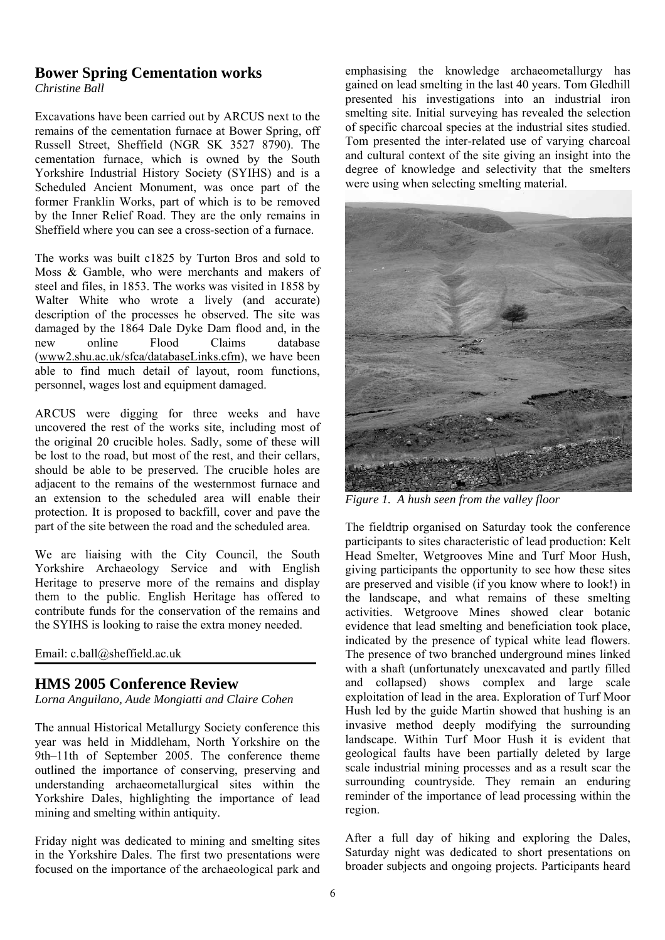## **Bower Spring Cementation works**

*Christine Ball* 

Excavations have been carried out by ARCUS next to the remains of the cementation furnace at Bower Spring, off Russell Street, Sheffield (NGR SK 3527 8790). The cementation furnace, which is owned by the South Yorkshire Industrial History Society (SYIHS) and is a Scheduled Ancient Monument, was once part of the former Franklin Works, part of which is to be removed by the Inner Relief Road. They are the only remains in Sheffield where you can see a cross-section of a furnace.

The works was built c1825 by Turton Bros and sold to Moss & Gamble, who were merchants and makers of steel and files, in 1853. The works was visited in 1858 by Walter White who wrote a lively (and accurate) description of the processes he observed. The site was damaged by the 1864 Dale Dyke Dam flood and, in the new online Flood Claims database (www2.shu.ac.uk/sfca/databaseLinks.cfm), we have been able to find much detail of layout, room functions, personnel, wages lost and equipment damaged.

ARCUS were digging for three weeks and have uncovered the rest of the works site, including most of the original 20 crucible holes. Sadly, some of these will be lost to the road, but most of the rest, and their cellars, should be able to be preserved. The crucible holes are adjacent to the remains of the westernmost furnace and an extension to the scheduled area will enable their protection. It is proposed to backfill, cover and pave the part of the site between the road and the scheduled area.

We are liaising with the City Council, the South Yorkshire Archaeology Service and with English Heritage to preserve more of the remains and display them to the public. English Heritage has offered to contribute funds for the conservation of the remains and the SYIHS is looking to raise the extra money needed.

Email: c.ball@sheffield.ac.uk

#### **HMS 2005 Conference Review**

*Lorna Anguilano, Aude Mongiatti and Claire Cohen* 

The annual Historical Metallurgy Society conference this year was held in Middleham, North Yorkshire on the 9th–11th of September 2005. The conference theme outlined the importance of conserving, preserving and understanding archaeometallurgical sites within the Yorkshire Dales, highlighting the importance of lead mining and smelting within antiquity.

Friday night was dedicated to mining and smelting sites in the Yorkshire Dales. The first two presentations were focused on the importance of the archaeological park and

emphasising the knowledge archaeometallurgy has gained on lead smelting in the last 40 years. Tom Gledhill presented his investigations into an industrial iron smelting site. Initial surveying has revealed the selection of specific charcoal species at the industrial sites studied. Tom presented the inter-related use of varying charcoal and cultural context of the site giving an insight into the degree of knowledge and selectivity that the smelters were using when selecting smelting material.



*Figure 1. A hush seen from the valley floor* 

The fieldtrip organised on Saturday took the conference participants to sites characteristic of lead production: Kelt Head Smelter, Wetgrooves Mine and Turf Moor Hush, giving participants the opportunity to see how these sites are preserved and visible (if you know where to look!) in the landscape, and what remains of these smelting activities. Wetgroove Mines showed clear botanic evidence that lead smelting and beneficiation took place, indicated by the presence of typical white lead flowers. The presence of two branched underground mines linked with a shaft (unfortunately unexcavated and partly filled and collapsed) shows complex and large scale exploitation of lead in the area. Exploration of Turf Moor Hush led by the guide Martin showed that hushing is an invasive method deeply modifying the surrounding landscape. Within Turf Moor Hush it is evident that geological faults have been partially deleted by large scale industrial mining processes and as a result scar the surrounding countryside. They remain an enduring reminder of the importance of lead processing within the region.

After a full day of hiking and exploring the Dales, Saturday night was dedicated to short presentations on broader subjects and ongoing projects. Participants heard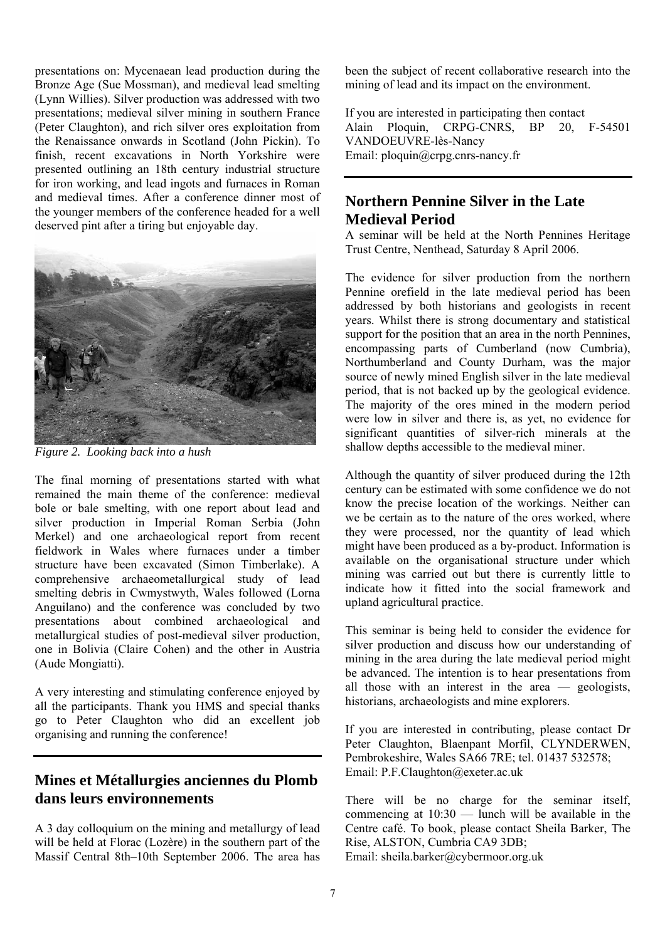presentations on: Mycenaean lead production during the Bronze Age (Sue Mossman), and medieval lead smelting (Lynn Willies). Silver production was addressed with two presentations; medieval silver mining in southern France (Peter Claughton), and rich silver ores exploitation from the Renaissance onwards in Scotland (John Pickin). To finish, recent excavations in North Yorkshire were presented outlining an 18th century industrial structure for iron working, and lead ingots and furnaces in Roman and medieval times. After a conference dinner most of the younger members of the conference headed for a well deserved pint after a tiring but enjoyable day.



*Figure 2. Looking back into a hush* 

The final morning of presentations started with what remained the main theme of the conference: medieval bole or bale smelting, with one report about lead and silver production in Imperial Roman Serbia (John Merkel) and one archaeological report from recent fieldwork in Wales where furnaces under a timber structure have been excavated (Simon Timberlake). A comprehensive archaeometallurgical study of lead smelting debris in Cwmystwyth, Wales followed (Lorna Anguilano) and the conference was concluded by two presentations about combined archaeological and metallurgical studies of post-medieval silver production, one in Bolivia (Claire Cohen) and the other in Austria (Aude Mongiatti).

A very interesting and stimulating conference enjoyed by all the participants. Thank you HMS and special thanks go to Peter Claughton who did an excellent job organising and running the conference!

### **Mines et Métallurgies anciennes du Plomb dans leurs environnements**

A 3 day colloquium on the mining and metallurgy of lead will be held at Florac (Lozère) in the southern part of the Massif Central 8th–10th September 2006. The area has been the subject of recent collaborative research into the mining of lead and its impact on the environment.

If you are interested in participating then contact Alain Ploquin, CRPG-CNRS, BP 20, F-54501 VANDOEUVRE-lès-Nancy Email: ploquin@crpg.cnrs-nancy.fr

## **Northern Pennine Silver in the Late Medieval Period**

A seminar will be held at the North Pennines Heritage Trust Centre, Nenthead, Saturday 8 April 2006.

The evidence for silver production from the northern Pennine orefield in the late medieval period has been addressed by both historians and geologists in recent years. Whilst there is strong documentary and statistical support for the position that an area in the north Pennines, encompassing parts of Cumberland (now Cumbria), Northumberland and County Durham, was the major source of newly mined English silver in the late medieval period, that is not backed up by the geological evidence. The majority of the ores mined in the modern period were low in silver and there is, as yet, no evidence for significant quantities of silver-rich minerals at the shallow depths accessible to the medieval miner.

Although the quantity of silver produced during the 12th century can be estimated with some confidence we do not know the precise location of the workings. Neither can we be certain as to the nature of the ores worked, where they were processed, nor the quantity of lead which might have been produced as a by-product. Information is available on the organisational structure under which mining was carried out but there is currently little to indicate how it fitted into the social framework and upland agricultural practice.

This seminar is being held to consider the evidence for silver production and discuss how our understanding of mining in the area during the late medieval period might be advanced. The intention is to hear presentations from all those with an interest in the area — geologists, historians, archaeologists and mine explorers.

If you are interested in contributing, please contact Dr Peter Claughton, Blaenpant Morfil, CLYNDERWEN, Pembrokeshire, Wales SA66 7RE; tel. 01437 532578; Email: P.F.Claughton@exeter.ac.uk

There will be no charge for the seminar itself, commencing at  $10:30$  — lunch will be available in the Centre café. To book, please contact Sheila Barker, The Rise, ALSTON, Cumbria CA9 3DB; Email: sheila.barker@cybermoor.org.uk